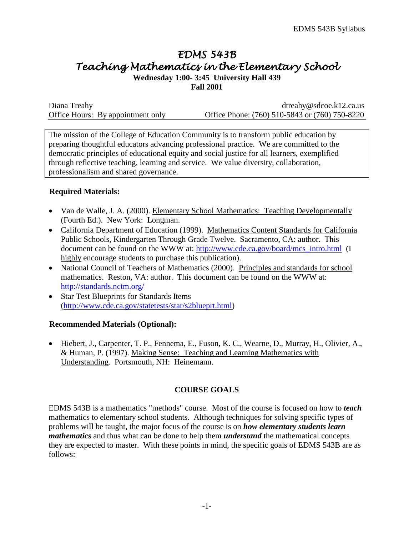# *EDMS 543B Teaching Mathematics in the Elementary School*

**Wednesday 1:00- 3:45 University Hall 439 Fall 2001**

| Diana Treahy                      | $d$ treahy@sdcoe.k12.ca.us                     |
|-----------------------------------|------------------------------------------------|
| Office Hours: By appointment only | Office Phone: (760) 510-5843 or (760) 750-8220 |

The mission of the College of Education Community is to transform public education by preparing thoughtful educators advancing professional practice. We are committed to the democratic principles of educational equity and social justice for all learners, exemplified through reflective teaching, learning and service. We value diversity, collaboration, professionalism and shared governance.

### **Required Materials:**

- Van de Walle, J. A. (2000). Elementary School Mathematics: Teaching Developmentally (Fourth Ed.). New York: Longman.
- California Department of Education (1999). Mathematics Content Standards for California Public Schools, Kindergarten Through Grade Twelve. Sacramento, CA: author. This document can be found on the WWW at: [http://www.cde.ca.gov/board/mcs\\_intro.html](http://www.cde.ca.gov/board/mcs_intro.html) (I highly encourage students to purchase this publication).
- National Council of Teachers of Mathematics (2000). Principles and standards for school mathematics. Reston, VA: author. This document can be found on the WWW at: <http://standards.nctm.org/>
- Star Test Blueprints for Standards Items [\(http://www.cde.ca.gov/statetests/star/s2blueprt.html\)](http://www.cde.ca.gov/statetests/star/s2blueprt.html)

### **Recommended Materials (Optional):**

• Hiebert, J., Carpenter, T. P., Fennema, E., Fuson, K. C., Wearne, D., Murray, H., Olivier, A., & Human, P. (1997). Making Sense: Teaching and Learning Mathematics with Understanding*.* Portsmouth, NH: Heinemann.

# **COURSE GOALS**

EDMS 543B is a mathematics "methods" course. Most of the course is focused on how to *teach* mathematics to elementary school students. Although techniques for solving specific types of problems will be taught, the major focus of the course is on *how elementary students learn mathematics* and thus what can be done to help them *understand* the mathematical concepts they are expected to master. With these points in mind, the specific goals of EDMS 543B are as follows: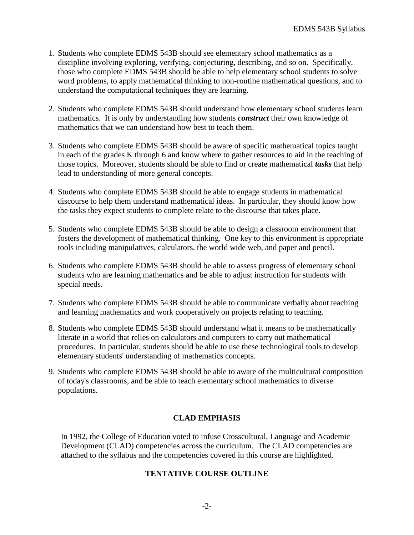- 1. Students who complete EDMS 543B should see elementary school mathematics as a discipline involving exploring, verifying, conjecturing, describing, and so on. Specifically, those who complete EDMS 543B should be able to help elementary school students to solve word problems, to apply mathematical thinking to non-routine mathematical questions, and to understand the computational techniques they are learning.
- 2. Students who complete EDMS 543B should understand how elementary school students learn mathematics. It is only by understanding how students *construct* their own knowledge of mathematics that we can understand how best to teach them.
- 3. Students who complete EDMS 543B should be aware of specific mathematical topics taught in each of the grades K through 6 and know where to gather resources to aid in the teaching of those topics. Moreover, students should be able to find or create mathematical *tasks* that help lead to understanding of more general concepts.
- 4. Students who complete EDMS 543B should be able to engage students in mathematical discourse to help them understand mathematical ideas. In particular, they should know how the tasks they expect students to complete relate to the discourse that takes place.
- 5. Students who complete EDMS 543B should be able to design a classroom environment that fosters the development of mathematical thinking. One key to this environment is appropriate tools including manipulatives, calculators, the world wide web, and paper and pencil.
- 6. Students who complete EDMS 543B should be able to assess progress of elementary school students who are learning mathematics and be able to adjust instruction for students with special needs.
- 7. Students who complete EDMS 543B should be able to communicate verbally about teaching and learning mathematics and work cooperatively on projects relating to teaching.
- 8. Students who complete EDMS 543B should understand what it means to be mathematically literate in a world that relies on calculators and computers to carry out mathematical procedures. In particular, students should be able to use these technological tools to develop elementary students' understanding of mathematics concepts.
- 9. Students who complete EDMS 543B should be able to aware of the multicultural composition of today's classrooms, and be able to teach elementary school mathematics to diverse populations.

# **CLAD EMPHASIS**

In 1992, the College of Education voted to infuse Crosscultural, Language and Academic Development (CLAD) competencies across the curriculum. The CLAD competencies are attached to the syllabus and the competencies covered in this course are highlighted.

### **TENTATIVE COURSE OUTLINE**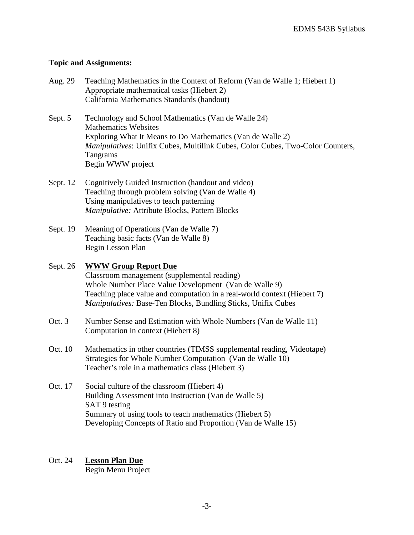## **Topic and Assignments:**

| Aug. 29                                    | Teaching Mathematics in the Context of Reform (Van de Walle 1; Hiebert 1) |
|--------------------------------------------|---------------------------------------------------------------------------|
| Appropriate mathematical tasks (Hiebert 2) |                                                                           |
|                                            | California Mathematics Standards (handout)                                |

- Sept. 5 Technology and School Mathematics (Van de Walle 24) Mathematics Websites Exploring What It Means to Do Mathematics (Van de Walle 2) *Manipulatives*: Unifix Cubes, Multilink Cubes, Color Cubes, Two-Color Counters, Tangrams Begin WWW project
- Sept. 12 Cognitively Guided Instruction (handout and video) Teaching through problem solving (Van de Walle 4) Using manipulatives to teach patterning *Manipulative:* Attribute Blocks, Pattern Blocks
- Sept. 19 Meaning of Operations (Van de Walle 7) Teaching basic facts (Van de Walle 8) Begin Lesson Plan

## Sept. 26 **WWW Group Report Due**

Classroom management (supplemental reading) Whole Number Place Value Development (Van de Walle 9) Teaching place value and computation in a real-world context (Hiebert 7) *Manipulatives:* Base-Ten Blocks, Bundling Sticks, Unifix Cubes

- Oct. 3 Number Sense and Estimation with Whole Numbers (Van de Walle 11) Computation in context (Hiebert 8)
- Oct. 10 Mathematics in other countries (TIMSS supplemental reading, Videotape) Strategies for Whole Number Computation (Van de Walle 10) Teacher's role in a mathematics class (Hiebert 3)
- Oct. 17 Social culture of the classroom (Hiebert 4) Building Assessment into Instruction (Van de Walle 5) SAT 9 testing Summary of using tools to teach mathematics (Hiebert 5) Developing Concepts of Ratio and Proportion (Van de Walle 15)

# Oct. 24 **Lesson Plan Due**

Begin Menu Project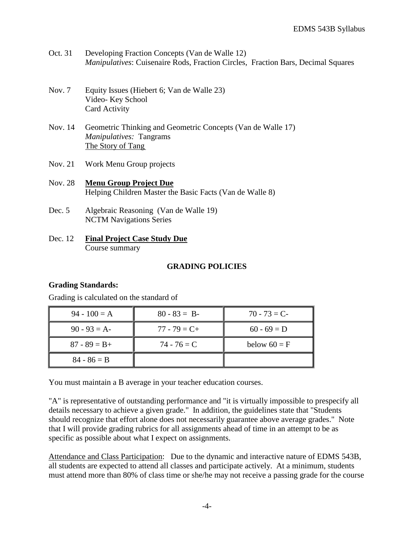- Oct. 31 Developing Fraction Concepts (Van de Walle 12) *Manipulatives*: Cuisenaire Rods, Fraction Circles, Fraction Bars, Decimal Squares
- Nov. 7 Equity Issues (Hiebert 6; Van de Walle 23) Video- Key School Card Activity
- Nov. 14 Geometric Thinking and Geometric Concepts (Van de Walle 17) *Manipulatives:* Tangrams The Story of Tang
- Nov. 21 Work Menu Group projects
- Nov. 28 **Menu Group Project Due** Helping Children Master the Basic Facts (Van de Walle 8)
- Dec. 5 Algebraic Reasoning (Van de Walle 19) NCTM Navigations Series
- Dec. 12 **Final Project Case Study Due** Course summary

## **GRADING POLICIES**

### **Grading Standards:**

Grading is calculated on the standard of

| $94 - 100 = A$  | $80 - 83 = B$   | $70 - 73 = C$  |
|-----------------|-----------------|----------------|
| $90 - 93 = A$   | $77 - 79 = C +$ | $60 - 69 = D$  |
| $87 - 89 = B +$ | $74 - 76 = C$   | below $60 = F$ |
| $84 - 86 = B$   |                 |                |

You must maintain a B average in your teacher education courses.

"A" is representative of outstanding performance and "it is virtually impossible to prespecify all details necessary to achieve a given grade." In addition, the guidelines state that "Students should recognize that effort alone does not necessarily guarantee above average grades." Note that I will provide grading rubrics for all assignments ahead of time in an attempt to be as specific as possible about what I expect on assignments.

Attendance and Class Participation: Due to the dynamic and interactive nature of EDMS 543B, all students are expected to attend all classes and participate actively. At a minimum, students must attend more than 80% of class time or she/he may not receive a passing grade for the course